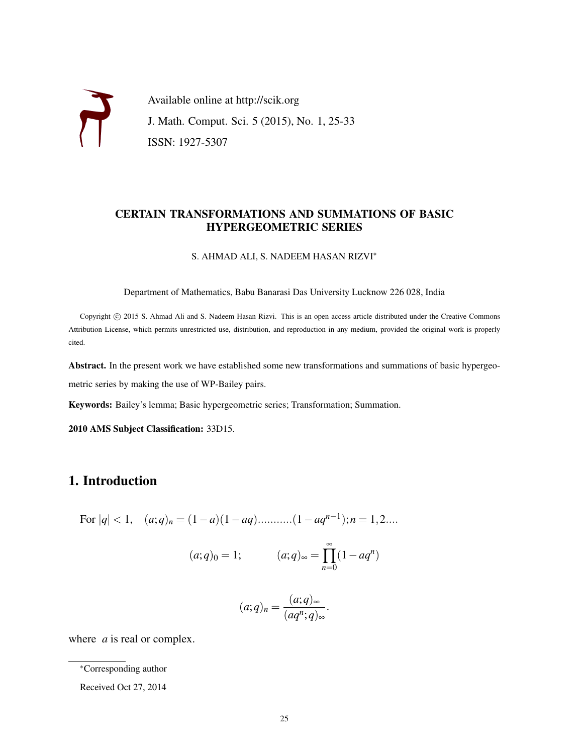Available online at http://scik.org J. Math. Comput. Sci. 5 (2015), No. 1, 25-33 ISSN: 1927-5307

### CERTAIN TRANSFORMATIONS AND SUMMATIONS OF BASIC HYPERGEOMETRIC SERIES

S. AHMAD ALI, S. NADEEM HASAN RIZVI<sup>∗</sup>

Department of Mathematics, Babu Banarasi Das University Lucknow 226 028, India

Copyright © 2015 S. Ahmad Ali and S. Nadeem Hasan Rizvi. This is an open access article distributed under the Creative Commons Attribution License, which permits unrestricted use, distribution, and reproduction in any medium, provided the original work is properly cited.

Abstract. In the present work we have established some new transformations and summations of basic hypergeometric series by making the use of WP-Bailey pairs.

Keywords: Bailey's lemma; Basic hypergeometric series; Transformation; Summation.

2010 AMS Subject Classification: 33D15.

# 1. Introduction

For 
$$
|q| < 1
$$
,  $(a;q)_n = (1-a)(1-aq) \dots \dots \dots (1-aq^{n-1}); n = 1,2...$ 

$$
(a;q)_0 = 1;
$$
  $(a;q)_{\infty} = \prod_{n=0}^{\infty} (1 - aq^n)$ 

$$
(a;q)_n = \frac{(a;q)_{\infty}}{(aq^n;q)_{\infty}}.
$$

where *a* is real or complex.

<sup>∗</sup>Corresponding author

Received Oct 27, 2014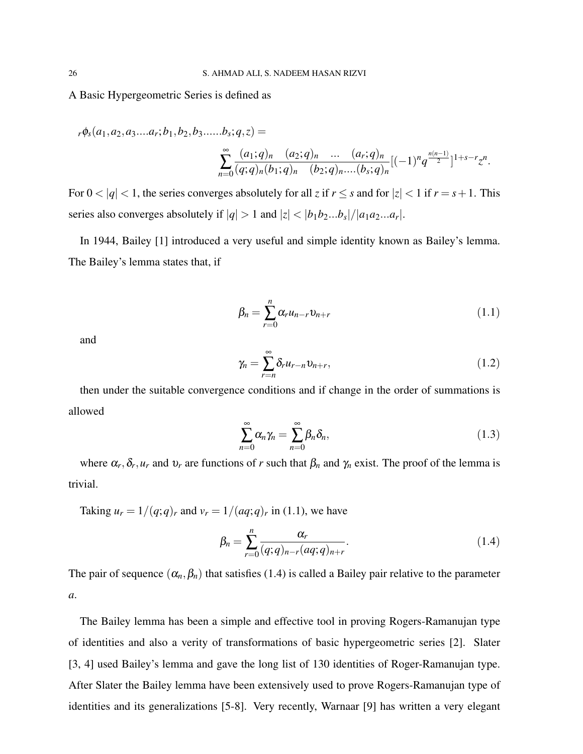A Basic Hypergeometric Series is defined as

$$
_{r}\phi_{s}(a_{1},a_{2},a_{3}...a_{r};b_{1},b_{2},b_{3}......b_{s};q,z) =
$$

$$
\sum_{n=0}^{\infty} \frac{(a_1;q)_n (a_2;q)_n \dots (a_r;q)_n}{(q;q)_n (b_1;q)_n (b_2;q)_n \dots (b_s;q)_n} [(-1)^n q^{\frac{n(n-1)}{2}}]^{1+s-r} z^n.
$$

For  $0 < |q| < 1$ , the series converges absolutely for all *z* if  $r \leq s$  and for  $|z| < 1$  if  $r = s + 1$ . This series also converges absolutely if  $|q| > 1$  and  $|z| < |b_1b_2...b_s|/|a_1a_2...a_r|$ .

In 1944, Bailey [1] introduced a very useful and simple identity known as Bailey's lemma. The Bailey's lemma states that, if

$$
\beta_n = \sum_{r=0}^n \alpha_r u_{n-r} v_{n+r} \tag{1.1}
$$

and

$$
\gamma_n = \sum_{r=n}^{\infty} \delta_r u_{r-n} v_{n+r},\tag{1.2}
$$

then under the suitable convergence conditions and if change in the order of summations is allowed

$$
\sum_{n=0}^{\infty} \alpha_n \gamma_n = \sum_{n=0}^{\infty} \beta_n \delta_n,
$$
\n(1.3)

where  $\alpha_r, \delta_r, u_r$  and  $v_r$  are functions of *r* such that  $\beta_n$  and  $\gamma_n$  exist. The proof of the lemma is trivial.

Taking  $u_r = 1/(q;q)_r$  and  $v_r = 1/(aq;q)_r$  in (1.1), we have

$$
\beta_n = \sum_{r=0}^n \frac{\alpha_r}{(q;q)_{n-r}(aq;q)_{n+r}}.\tag{1.4}
$$

The pair of sequence  $(\alpha_n, \beta_n)$  that satisfies (1.4) is called a Bailey pair relative to the parameter *a*.

The Bailey lemma has been a simple and effective tool in proving Rogers-Ramanujan type of identities and also a verity of transformations of basic hypergeometric series [2]. Slater [3, 4] used Bailey's lemma and gave the long list of 130 identities of Roger-Ramanujan type. After Slater the Bailey lemma have been extensively used to prove Rogers-Ramanujan type of identities and its generalizations [5-8]. Very recently, Warnaar [9] has written a very elegant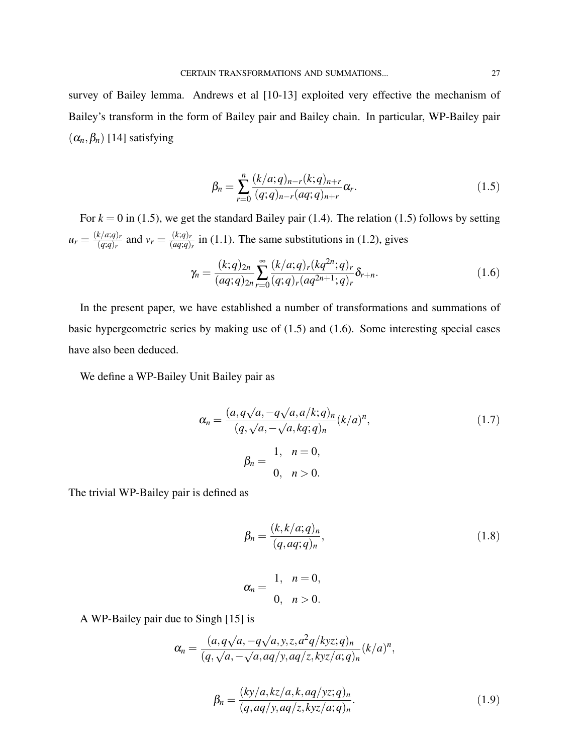survey of Bailey lemma. Andrews et al [10-13] exploited very effective the mechanism of Bailey's transform in the form of Bailey pair and Bailey chain. In particular, WP-Bailey pair  $(\alpha_n, \beta_n)$  [14] satisfying

$$
\beta_n = \sum_{r=0}^n \frac{(k/a;q)_{n-r}(k;q)_{n+r}}{(q;q)_{n-r}(aq;q)_{n+r}} \alpha_r.
$$
\n(1.5)

For  $k = 0$  in (1.5), we get the standard Bailey pair (1.4). The relation (1.5) follows by setting  $u_r = \frac{(k/a;q)_r}{(a;q)_r}$  $\frac{(k/a;q)_r}{(q;q)_r}$  and  $v_r = \frac{(k;q)_r}{(aq;q)}$  $\frac{kq_i}{(aq;q)_r}$  in (1.1). The same substitutions in (1.2), gives

$$
\gamma_n = \frac{(k;q)_{2n}}{(aq;q)_{2n}} \sum_{r=0}^{\infty} \frac{(k/a;q)_r (kq^{2n};q)_r}{(q;q)_r (aq^{2n+1};q)_r} \delta_{r+n}.
$$
\n(1.6)

In the present paper, we have established a number of transformations and summations of basic hypergeometric series by making use of (1.5) and (1.6). Some interesting special cases have also been deduced.

We define a WP-Bailey Unit Bailey pair as

$$
\alpha_n = \frac{(a, q\sqrt{a}, -q\sqrt{a}, a/k; q)_n}{(q, \sqrt{a}, -\sqrt{a}, kq; q)_n} (k/a)^n,
$$
\n
$$
\beta_n = \frac{1, n = 0, n > 0}{0, n > 0}.
$$
\n(1.7)

The trivial WP-Bailey pair is defined as

$$
\beta_n = \frac{(k, k/a; q)_n}{(q, aq; q)_n},
$$
\n
$$
\alpha_n = \frac{1, \quad n = 0,}{0, \quad n > 0}.
$$
\n(1.8)

A WP-Bailey pair due to Singh [15] is

$$
\alpha_n = \frac{(a,q\sqrt{a},-q\sqrt{a},y,z,a^2q/kyz;q)_n}{(q,\sqrt{a},-\sqrt{a},aq/y,aq/z,kyz/a;q)_n}(k/a)^n,
$$

$$
\beta_n = \frac{(ky/a, kz/a, k, aq/yz; q)_n}{(q, aq/y, aq/z, kyz/a; q)_n}.
$$
\n(1.9)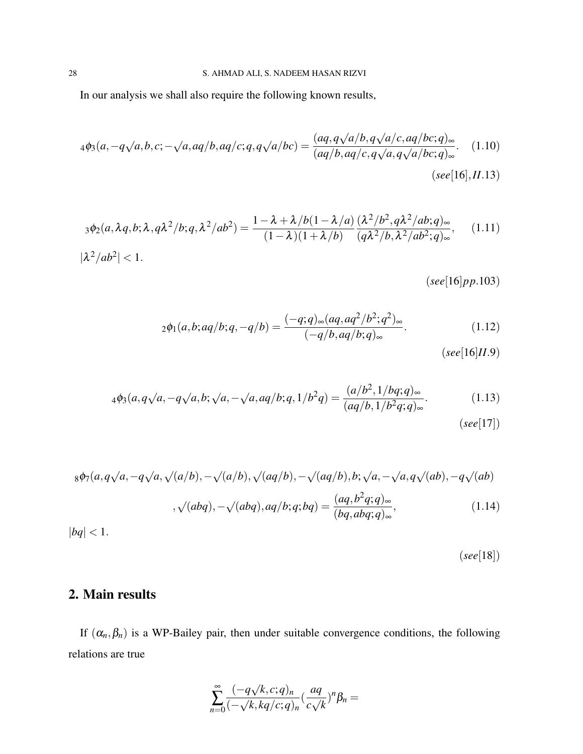In our analysis we shall also require the following known results,

$$
{}_4\phi_3(a, -q\sqrt{a}, b, c; -\sqrt{a}, aq/b, aq/c; q, q\sqrt{a/bc}) = \frac{(aq, q\sqrt{a/b}, q\sqrt{a/c}, aq/bc; q)_{\infty}}{(aq/b, aq/c, q\sqrt{a}, q\sqrt{a/bc; q)_{\infty}}}. \quad (1.10)
$$
  
(see [16], II.13)

$$
_3\phi_2(a,\lambda q,b;\lambda,q\lambda^2/b;q,\lambda^2/ab^2) = \frac{1-\lambda+\lambda/b(1-\lambda/a)}{(1-\lambda)(1+\lambda/b)} \frac{(\lambda^2/b^2,q\lambda^2/ab;q)_\infty}{(q\lambda^2/b,\lambda^2/ab^2;q)_\infty},\quad (1.11)
$$
  

$$
|\lambda^2/ab^2| < 1.
$$

(*see*[16]*pp*.103)

$$
{}_2\phi_1(a,b;aq/b;q,-q/b) = \frac{(-q;q)_{\infty}(aq,aq^2/b^2;q^2)_{\infty}}{(-q/b,aq/b;q)_{\infty}}.
$$
\n(1.12)

(*see*[16]*II*.9)

$$
{}_{4}\phi_{3}(a,q\sqrt{a},-q\sqrt{a},b;\sqrt{a},-\sqrt{a},aq/b;q,1/b^{2}q) = \frac{(a/b^{2},1/bq;q)_{\infty}}{(aq/b,1/b^{2}q;q)_{\infty}}.
$$
\n(1.13)

(*see*[17])

$$
{}_{8}\phi_{7}(a,q\sqrt{a},-q\sqrt{a},\sqrt{(a/b)},-\sqrt{(a/b)},\sqrt{(aq/b)},-\sqrt{(aq/b)},b;\sqrt{a},-\sqrt{a},q\sqrt{(ab)},-q\sqrt{(ab)})
$$

$$
{}_{,}\sqrt{(abq)},-\sqrt{(abq)},aq/b;q,bq) = \frac{(aq,b^{2}q;q)_{\infty}}{(bq,abq;q)_{\infty}},\tag{1.14}
$$

 $|bq| < 1.$ 

(*see*[18])

# 2. Main results

If  $(\alpha_n, \beta_n)$  is a WP-Bailey pair, then under suitable convergence conditions, the following relations are true

$$
\sum_{n=0}^{\infty} \frac{(-q\sqrt{k},c;q)_n}{(-\sqrt{k},kq/c;q)_n} (\frac{aq}{c\sqrt{k}})^n \beta_n =
$$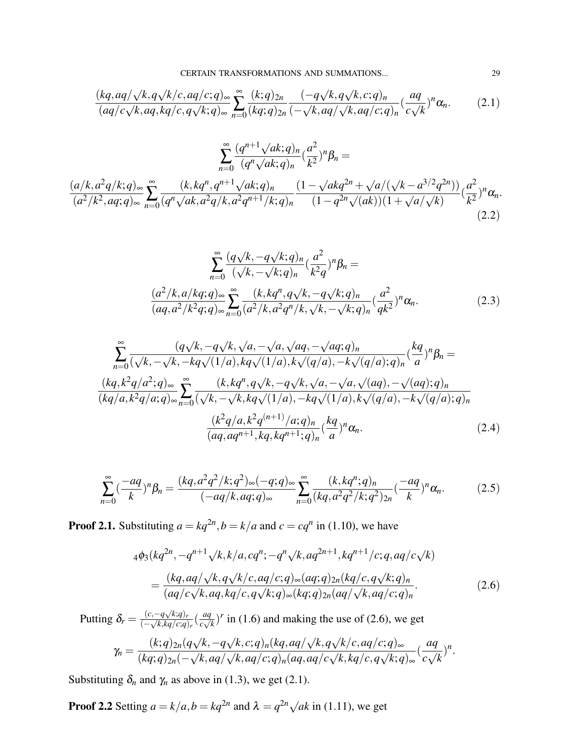$$
\frac{(kq,aq/\sqrt{k},q\sqrt{k}/c,aq/c;q)_{\infty}}{(aq/c\sqrt{k},aq,kq/c,q\sqrt{k};q)_{\infty}} \sum_{n=0}^{\infty} \frac{(k;q)_{2n}}{(kq;q)_{2n}} \frac{(-q\sqrt{k},q\sqrt{k},c;q)_n}{(-\sqrt{k},aq/\sqrt{k},aq/c;q)_n} (\frac{aq}{c\sqrt{k}})^n \alpha_n.
$$
 (2.1)

$$
\sum_{n=0}^{\infty} \frac{(q^{n+1}\sqrt{ak;q})_n}{(q^n\sqrt{ak;q})_n} \left(\frac{a^2}{k^2}\right)^n \beta_n =
$$
\n
$$
\frac{(a/k, a^2q/k;q)_{\infty}}{(a^2/k^2, aq;q)_{\infty}} \sum_{n=0}^{\infty} \frac{(k, kq^n, q^{n+1}\sqrt{ak;q})_n}{(q^n\sqrt{ak,a^2q/k,a^2q^{n+1}/k;q})_n} \frac{(1-\sqrt{akq^{2n}+\sqrt{a/(\sqrt{k-a^{2n}q^{2n}})}})}{(1-q^{2n}\sqrt{(ak)})(1+\sqrt{a/\sqrt{k}})} \left(\frac{a^2}{k^2}\right)^n \alpha_n.
$$
\n(2.2)

$$
\sum_{n=0}^{\infty} \frac{(q\sqrt{k}, -q\sqrt{k}; q)_n}{(\sqrt{k}, -\sqrt{k}; q)_n} (\frac{a^2}{k^2 q})^n \beta_n =
$$
\n
$$
\frac{(a^2/k, a/kq; q)_{\infty}}{(aq, a^2/k^2 q; q)_{\infty}} \sum_{n=0}^{\infty} \frac{(k, kq^n, q\sqrt{k}, -q\sqrt{k}; q)_n}{(a^2/k, a^2 q^n/k, \sqrt{k}, -\sqrt{k}; q)_n} (\frac{a^2}{q k^2})^n \alpha_n.
$$
\n(2.3)

$$
\sum_{n=0}^{\infty} \frac{(q\sqrt{k}, -q\sqrt{k}, \sqrt{a}, -\sqrt{a}, \sqrt{aq}, -\sqrt{aq};q)_n}{(\sqrt{k}, -\sqrt{k}, -kq\sqrt{(1/a)}, kq\sqrt{(1/a)}, k\sqrt{(q/a)}, -k\sqrt{(q/a)};q)_n} (\frac{kq}{a})^n \beta_n =
$$
  
\n
$$
\frac{(kq, k^2q/a^2; q)_{\infty}}{(kq/a, k^2q/a; q)_{\infty}} \sum_{n=0}^{\infty} \frac{(k, kq^n, q\sqrt{k}, -q\sqrt{k}, \sqrt{a}, -\sqrt{a}, \sqrt{(aq)}, -\sqrt{(aq)};q)_n}{(\sqrt{k}, -\sqrt{k}, kq\sqrt{(1/a)}, -kq\sqrt{(1/a)}, k\sqrt{(q/a)}, -k\sqrt{(q/a)};q)_n}
$$
  
\n
$$
\frac{(k^2q/a, k^2q^{(n+1)}/a; q)_n}{(aq, aq^{n+1}, kq, kq^{n+1};q)_n} (\frac{kq}{a})^n \alpha_n.
$$
 (2.4)

$$
\sum_{n=0}^{\infty} \left(\frac{-aq}{k}\right)^n \beta_n = \frac{(kq, a^2q^2/k; q^2)_{\infty}(-q; q)_{\infty}}{(-aq/k, aq; q)_{\infty}} \sum_{n=0}^{\infty} \frac{(k, kq^n; q)_n}{(kq, a^2q^2/k; q^2)_{2n}} \left(\frac{-aq}{k}\right)^n \alpha_n.
$$
 (2.5)

**Proof 2.1.** Substituting  $a = kq^{2n}$ ,  $b = k/a$  and  $c = cq^n$  in (1.10), we have

$$
4\phi_3(kq^{2n}, -q^{n+1}\sqrt{k}, k/a, cq^n; -q^n\sqrt{k}, aq^{2n+1}, kq^{n+1}/c; q, aq/c\sqrt{k})
$$
  
= 
$$
\frac{(kq, aq/\sqrt{k}, q\sqrt{k/c}, aq/c; q)_{\infty}(aq; q)_{2n}(kq/c, q\sqrt{k}; q)_n}{(aq/c\sqrt{k}, aq, kq/c, q\sqrt{k}; q)_{\infty}(kq; q)_{2n}(aq/\sqrt{k}, aq/c; q)_n}.
$$
 (2.6)

Putting  $\delta_r = \frac{(c, -q\sqrt{k};q)_r}{(-\sqrt{k}kq/c;q)}$ (− √ *k*,*kq*/*c*;*q*)*r* ( *aq*  $\frac{aq}{c\sqrt{k}}$ )<sup>*r*</sup> in (1.6) and making the use of (2.6), we get  $\gamma_n = \frac{(k;q)_{2n}(q)}{(k;q)_{2n}(q)}$ √ *k*,−*q* √ *k*, *c*;*q*)*n*(*kq*,*aq*/ √ *k*,*q* √ *k*/*c*,*aq*/*c*;*q*)<sup>∞</sup>  $(kq;q)_{2n}( \frac{l\vee}{\sqrt{2}}$ *k*,*aq*/  $\frac{V}{\sqrt{2}}$ *k*,*aq*/*c*;*q*)*n*(*aq*,*aq*/*c* √ *k*, *kq*/*c*,*q* √ *k*;*q*)<sup>∞</sup> ( *aq c*  $\frac{q}{q}$ *k* ) *n* .

Substituting  $\delta_n$  and  $\gamma_n$  as above in (1.3), we get (2.1).

**Proof 2.2** Setting  $a = k/a$ ,  $b = kq^{2n}$  and  $\lambda = q^{2n}\sqrt{ak}$  in (1.11), we get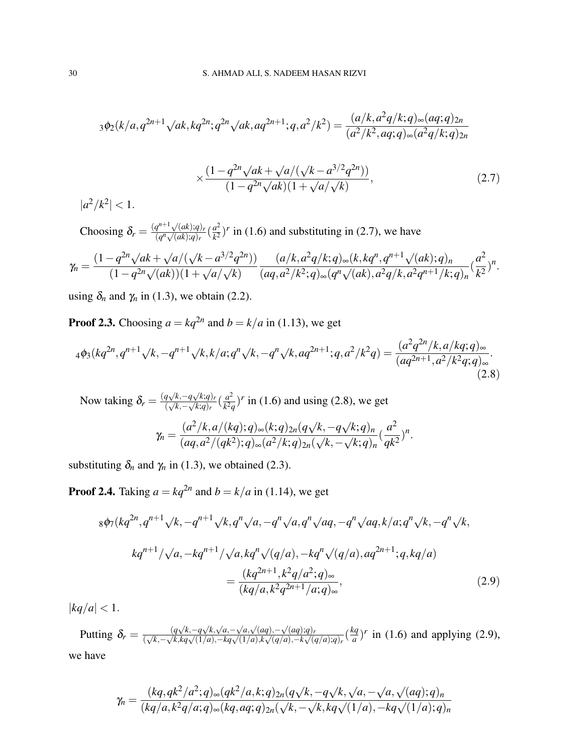$$
{}_3\phi_2(k/a,q^{2n+1}\sqrt{ak,kq^{2n}};q^{2n}\sqrt{ak,aq^{2n+1}};q,a^2/k^2) = \frac{(a/k,a^2q/k;q)_{\infty}(aq;q)_{2n}}{(a^2/k^2,aq;q)_{\infty}(a^2q/k;q)_{2n}}
$$

$$
\times \frac{(1 - q^{2n} \sqrt{ak} + \sqrt{a/(\sqrt{k} - a^{3/2} q^{2n})})}{(1 - q^{2n} \sqrt{ak})(1 + \sqrt{a/\sqrt{k}})},
$$
\n(2.7)

 $|a^2/k^2| < 1.$ 

Choosing  $\delta_r = \frac{(q^{n+1}\sqrt{(ak)};q)_r}{(q^n\sqrt{(ak)};q)_r}$  $\frac{q^{n+1}\sqrt{(ak);q)_r}}{(q^n\sqrt{(ak);q)_r}}\left(\frac{a^2}{k^2}\right)$  $\frac{a^2}{k^2}$ )<sup>*r*</sup> in (1.6) and substituting in (2.7), we have

$$
\gamma_n = \frac{(1-q^{2n}\sqrt{ak}+\sqrt{a}/(\sqrt{k-a^{3/2}q^{2n}}))}{(1-q^{2n}\sqrt{(ak))(1+\sqrt{a}/\sqrt{k})}}\frac{(a/k, a^2q/k; q)_{\infty}(k, kq^n, q^{n+1}\sqrt{(ak); q})_n}{(aq, a^2/k^2; q)_{\infty}(q^n\sqrt{(ak), a^2q/k}, a^2q^{n+1}/k; q)_n}(\frac{a^2}{k^2})^n.
$$

using  $\delta_n$  and  $\gamma_n$  in (1.3), we obtain (2.2).

**Proof 2.3.** Choosing  $a = kq^{2n}$  and  $b = k/a$  in (1.13), we get

$$
{}_{4}\phi_{3}(kq^{2n},q^{n+1}\sqrt{k},-q^{n+1}\sqrt{k},k/a;q^{n}\sqrt{k},-q^{n}\sqrt{k},aq^{2n+1};q,a^{2}/k^{2}q) = \frac{(a^{2}q^{2n}/k,a/kq;q)_{\infty}}{(aq^{2n+1},a^{2}/k^{2}q;q)_{\infty}}.
$$
\n(2.8)

Now taking  $\delta_r = \frac{(q\sqrt{k}, -q\sqrt{k};q)_r}{(\sqrt{k}, -\sqrt{k};q)_r}$  $\frac{q\sqrt{k},-q\sqrt{k;q}_r}{(\sqrt{k},-\sqrt{k;q}_r)}\left(\frac{a^2}{k^2q}\right)$  $\frac{a^2}{k^2q}$ <sup>*r*</sup> in (1.6) and using (2.8), we get  $\gamma_n =$ (*a* <sup>2</sup>/*k*,*a*/(*kq*);*q*)∞(*k*;*q*)2*n*(*q* √ *k*,−*q* √ *k*;*q*)*<sup>n</sup>*  $\frac{(a^{7/k},a^{7/k}q^{7})\infty\{k, q^{7}/q\}}{(aq,a^{2}/(qk^{2});q)_{\infty}(a^{2}/k;q)_{2n}(\sqrt{qk^{2}/q})}$ *k*,−  $\frac{V}{\sqrt{2}}$ *k*;*q*)*<sup>n</sup>* ( *a* 2  $\frac{a}{qk^2}$ <sup>n</sup>.

substituting  $\delta_n$  and  $\gamma_n$  in (1.3), we obtained (2.3).

**Proof 2.4.** Taking  $a = kq^{2n}$  and  $b = k/a$  in (1.14), we get

$$
8\phi_7(kq^{2n}, q^{n+1}\sqrt{k}, -q^{n+1}\sqrt{k}, q^n\sqrt{a}, -q^n\sqrt{a}, q^n\sqrt{aq}, -q^n\sqrt{aq}, k/a; q^n\sqrt{k}, -q^n\sqrt{k},
$$
  
\n
$$
kq^{n+1}/\sqrt{a}, -kq^{n+1}/\sqrt{a}, kq^n\sqrt{(q/a)}, -kq^n\sqrt{(q/a)}, aq^{2n+1}; q, kq/a)
$$
  
\n
$$
= \frac{(kq^{2n+1}, k^2q/a^2; q)_{\infty}}{(kq/a, k^2q^{2n+1}/a; q)_{\infty}},
$$
\n(2.9)

 $|kq/a| < 1.$ 

Putting  $\delta_r = \frac{(q\sqrt{k}, -q\sqrt{k}, \sqrt{a}, -\sqrt{a}, \sqrt{(aq)}, -\sqrt{(aq)}, q)}{(1/a) - k\sqrt{(1/a)} - k\sqrt{(1/a)}k\sqrt{(a/a)} - k\sqrt{(a/a)}k\sqrt{(a/a)}}$  $\frac{(q\sqrt{k},-q\sqrt{k},\sqrt{a},-\sqrt{a},\sqrt{(aq)},-\sqrt{(aq)},q)_r}}{(\sqrt{k},-\sqrt{k},kq\sqrt{(1/a)},-kq\sqrt{(1/a)},k\sqrt{(q/a)},-k\sqrt{(q/a)},q)_r}$  $\frac{q}{a}$ )<sup>*r*</sup> in (1.6) and applying (2.9), we have

$$
\gamma_n = \frac{(kq, qk^2/a^2; q)_{\infty}(qk^2/a, k; q)_{2n}(q\sqrt{k}, -q\sqrt{k}, \sqrt{a}, -\sqrt{a}, \sqrt{(aq); q})_n}{(kq/a, k^2q/a; q)_{\infty}(kq, aq; q)_{2n}(\sqrt{k}, -\sqrt{k}, kq\sqrt{(1/a)}, -kq\sqrt{(1/a)}; q)_n}
$$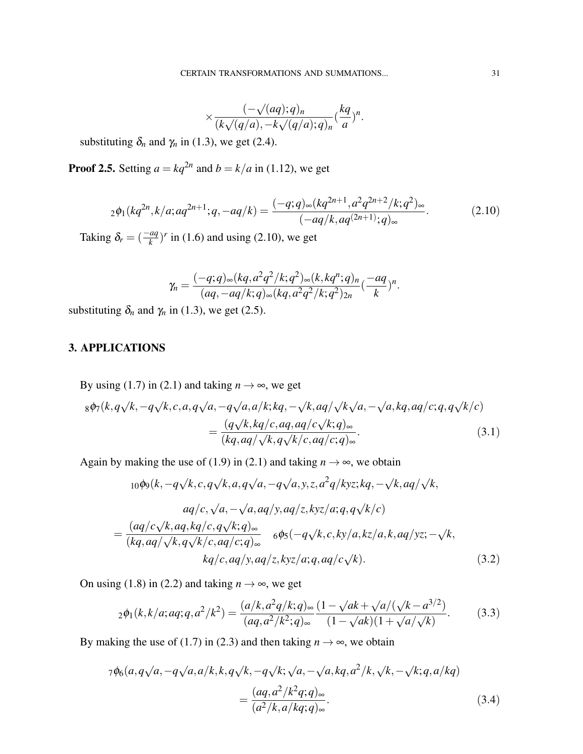$$
\times \frac{(-\sqrt{(aq;q)_n}}{(k\sqrt{(q/a)},-k\sqrt{(q/a);q})_n}(\frac{kq}{a})^n.
$$

substituting  $\delta_n$  and  $\gamma_n$  in (1.3), we get (2.4).

**Proof 2.5.** Setting  $a = kq^{2n}$  and  $b = k/a$  in (1.12), we get

$$
{}_2\phi_1(kq^{2n}, k/a; aq^{2n+1}; q, -aq/k) = \frac{(-q; q)_{\infty}(kq^{2n+1}, a^2q^{2n+2}/k; q^2)_{\infty}}{(-aq/k, aq^{(2n+1)}; q)_{\infty}}.
$$
(2.10)

Taking  $\delta_r = \left(\frac{-aq}{k}\right)^r$  in (1.6) and using (2.10), we get

$$
\gamma_n = \frac{(-q;q)_{\infty}(kq,a^2q^2/k;q^2)_{\infty}(k,kq^n;q)_n}{(aq,-aq/k;q)_{\infty}(kq,a^2q^2/k;q^2)_{2n}} \cdot \frac{-aq}{k})^n.
$$

substituting  $\delta_n$  and  $\gamma_n$  in (1.3), we get (2.5).

# 3. APPLICATIONS

By using (1.7) in (2.1) and taking  $n \to \infty$ , we get

$$
8\phi_7(k, q\sqrt{k}, -q\sqrt{k}, c, a, q\sqrt{a}, -q\sqrt{a}, a/k; kq, -\sqrt{k}, aq/\sqrt{k}\sqrt{a}, -\sqrt{a}, kq, aq/c; q, q\sqrt{k}/c)
$$
  
= 
$$
\frac{(q\sqrt{k}, kq/c, aq, aq/c\sqrt{k}; q)_{\infty}}{(kq, aq/\sqrt{k}, q\sqrt{k/c}, aq/c; q)_{\infty}}.
$$
(3.1)

Again by making the use of (1.9) in (2.1) and taking  $n \to \infty$ , we obtain

$$
{}_{10}\phi_9(k, -q\sqrt{k}, c, q\sqrt{k}, a, q\sqrt{a}, -q\sqrt{a}, y, z, a^2q/kyz; kq, -\sqrt{k}, aq/\sqrt{k},
$$
  
\n
$$
aq/c, \sqrt{a}, -\sqrt{a}, aq/y, aq/z, kyz/a; q, q\sqrt{k/c})
$$
  
\n
$$
= \frac{(aq/c\sqrt{k}, aq, kq/c, q\sqrt{k}; q)_{\infty}}{(kq, aq/\sqrt{k}, q\sqrt{k/c}, aq/c; q)_{\infty}} \quad 6\phi_5(-q\sqrt{k}, c, ky/a, kz/a, k, aq/yz; -\sqrt{k},
$$
  
\n
$$
kq/c, aq/y, aq/z, kyz/a; q, aq/c\sqrt{k}).
$$
\n(3.2)

On using (1.8) in (2.2) and taking  $n \to \infty$ , we get

$$
{}_2\phi_1(k,k/a;aq;q,a^2/k^2) = \frac{(a/k,a^2q/k;q)_\infty}{(aq,a^2/k^2;q)_\infty} \frac{(1-\sqrt{ak}+\sqrt{a/(\sqrt{k-a^{3/2}})}}{(1-\sqrt{ak})(1+\sqrt{a/\sqrt{k}})}.
$$
(3.3)

By making the use of (1.7) in (2.3) and then taking  $n \to \infty$ , we obtain

$$
7\phi_6(a,q\sqrt{a},-q\sqrt{a},a/k,k,q\sqrt{k},-q\sqrt{k};\sqrt{a},-\sqrt{a},kq,a^2/k,\sqrt{k},-\sqrt{k};q,a/kq)
$$
  
= 
$$
\frac{(aq,a^2/k^2q;q)_\infty}{(a^2/k,a/kq;q)_\infty}.
$$
 (3.4)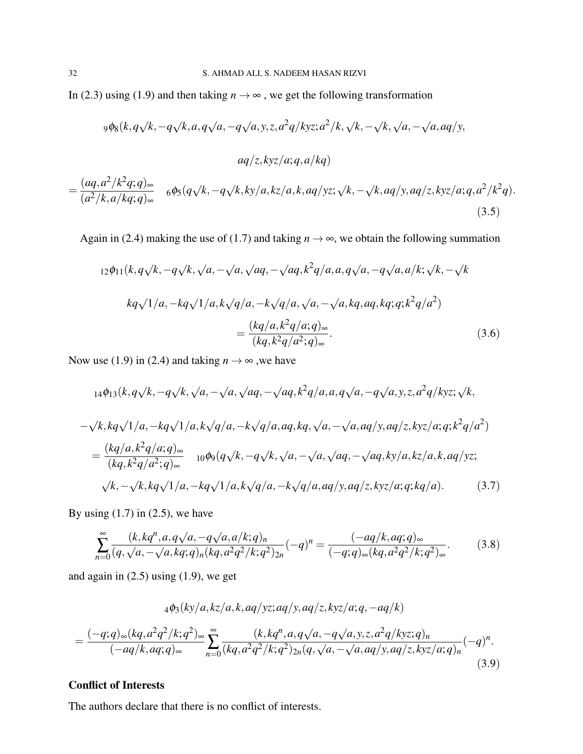In (2.3) using (1.9) and then taking  $n \to \infty$ , we get the following transformation

$$
9\phi_8(k, q\sqrt{k}, -q\sqrt{k}, a, q\sqrt{a}, -q\sqrt{a}, y, z, a^2q/kyz; a^2/k, \sqrt{k}, -\sqrt{k}, \sqrt{a}, -\sqrt{a}, aq/y,
$$
  

$$
aq/z, kyz/a; q, a/kq)
$$

$$
= \frac{(aq, a^2/k^2q; q)_{\infty}}{(a^2/k, a/kq; q)_{\infty}} \quad 6\phi_5(q\sqrt{k}, -q\sqrt{k}, ky/a, kz/a, k, aq/yz; \sqrt{k}, -\sqrt{k}, aq/y, aq/z, kyz/a; q, a^2/k^2q).
$$
\n(3.5)

Again in (2.4) making the use of (1.7) and taking  $n \to \infty$ , we obtain the following summation

$$
12\phi_{11}(k,q\sqrt{k},-q\sqrt{k},\sqrt{a},-\sqrt{a},\sqrt{aq},-\sqrt{aq},k^2q/a,a,q\sqrt{a},-q\sqrt{a},a/k;\sqrt{k},-\sqrt{k}
$$
  
\n
$$
kq\sqrt{1/a},-kq\sqrt{1/a},k\sqrt{q/a},-k\sqrt{q/a},\sqrt{a},-\sqrt{a},kq,aq,kq;q;k^2q/a^2)
$$
  
\n
$$
=\frac{(kq/a,k^2q/a;q)_\infty}{(kq,k^2q/a^2;q)_\infty}.
$$
\n(3.6)

Now use (1.9) in (2.4) and taking  $n \to \infty$ , we have

$$
14\phi_{13}(k,q\sqrt{k},-q\sqrt{k},\sqrt{a},-\sqrt{a},\sqrt{aq},-\sqrt{aq},k^2q/a,a,q\sqrt{a},-q\sqrt{a},y,z,a^2q/kyz;\sqrt{k},
$$
  
\n
$$
-\sqrt{k},kq\sqrt{1/a},-kq\sqrt{1/a},k\sqrt{q/a},-k\sqrt{q/a},aq,kq,\sqrt{a},-\sqrt{a},aq/y,aq/z,kyz/a;q;k^2q/a^2)
$$
  
\n
$$
= \frac{(kq/a,k^2q/a;q)_{\infty}}{(kq,k^2q/a^2;q)_{\infty}} \qquad 10\phi_{9}(q\sqrt{k},-q\sqrt{k},\sqrt{a},-\sqrt{a},\sqrt{aq},-\sqrt{aq},ky/a,kz/a,k,aq/yz};
$$
  
\n
$$
\sqrt{k},-\sqrt{k},kq\sqrt{1/a},-kq\sqrt{1/a},k\sqrt{q/a},-k\sqrt{q/a},aq/y,aq/z,kyz/a;q;kq/a).
$$
 (3.7)

By using  $(1.7)$  in  $(2.5)$ , we have

$$
\sum_{n=0}^{\infty} \frac{(k, kq^n, a, q\sqrt{a}, -q\sqrt{a}, a/k; q)_n}{(q, \sqrt{a}, -\sqrt{a}, kq; q)_n (kq, a^2q^2/k; q^2)_{2n}} (-q)^n = \frac{(-aq/k, aq; q)_{\infty}}{(-q; q)_{\infty} (kq, a^2q^2/k; q^2)_{\infty}}.
$$
(3.8)

and again in  $(2.5)$  using  $(1.9)$ , we get

$$
{}_{4}\phi_{3}(ky/a,kz/a,k,aq/yz;aq/y,aq/z,kyz/a;q,-aq/k)
$$
  
= 
$$
\frac{(-q;q)_{\infty}(kq,a^{2}q^{2}/k;q^{2})_{\infty}}{(-aq/k,aq;q)_{\infty}}\sum_{n=0}^{\infty}\frac{(k,kq^{n},a,q\sqrt{a},-q\sqrt{a},y,z,a^{2}q/kyz;q)_{n}}{(kq,a^{2}q^{2}/k;q^{2})_{2n}(q,\sqrt{a},-\sqrt{a},aq/y,aq/z,kyz/a;q)_{n}}(-q)^{n}.
$$
\n(3.9)

## Conflict of Interests

The authors declare that there is no conflict of interests.